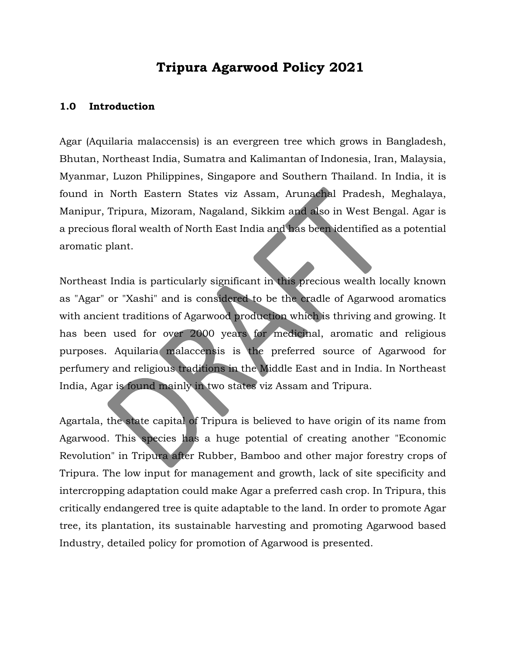# **Tripura Agarwood Policy 2021**

#### **1.0 Introduction**

Agar (Aquilaria malaccensis) is an evergreen tree which grows in Bangladesh, Bhutan, Northeast India, Sumatra and Kalimantan of Indonesia, Iran, Malaysia, Myanmar, Luzon Philippines, Singapore and Southern Thailand. In India, it is found in North Eastern States viz Assam, Arunachal Pradesh, Meghalaya, Manipur, Tripura, Mizoram, Nagaland, Sikkim and also in West Bengal. Agar is a precious floral wealth of North East India and has been identified as a potential aromatic plant.

Northeast India is particularly significant in this precious wealth locally known as "Agar" or "Xashi" and is considered to be the cradle of Agarwood aromatics with ancient traditions of Agarwood production which is thriving and growing. It has been used for over 2000 years for medicinal, aromatic and religious purposes. Aquilaria malaccensis is the preferred source of Agarwood for perfumery and religious traditions in the Middle East and in India. In Northeast India, Agar is found mainly in two states viz Assam and Tripura.

Agartala, the state capital of Tripura is believed to have origin of its name from Agarwood. This species has a huge potential of creating another "Economic Revolution" in Tripura after Rubber, Bamboo and other major forestry crops of Tripura. The low input for management and growth, lack of site specificity and intercropping adaptation could make Agar a preferred cash crop. In Tripura, this critically endangered tree is quite adaptable to the land. In order to promote Agar tree, its plantation, its sustainable harvesting and promoting Agarwood based Industry, detailed policy for promotion of Agarwood is presented.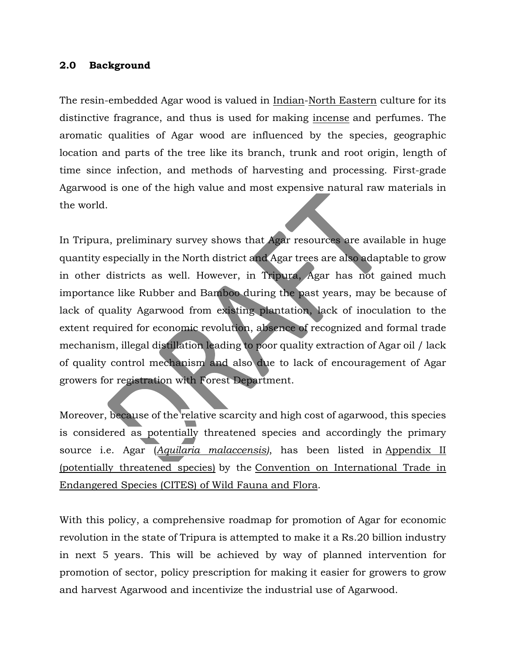#### **2.0 Background**

The resin-embedded Agar wood is valued in [Indian-](https://en.wikipedia.org/wiki/India)[North Eastern](https://en.wikipedia.org/wiki/North_Eastern) culture for its distinctive fragrance, and thus is used for making [incense](https://en.wikipedia.org/wiki/Incense) and perfumes. The aromatic qualities of Agar wood are influenced by the species, geographic location and parts of the tree like its branch, trunk and root origin, length of time since infection, and methods of harvesting and processing. First-grade Agarwood is one of the high value and most expensive natural raw materials in the world.

In Tripura, preliminary survey shows that Agar resources are available in huge quantity especially in the North district and Agar trees are also adaptable to grow in other districts as well. However, in Tripura, Agar has not gained much importance like Rubber and Bamboo during the past years, may be because of lack of quality Agarwood from existing plantation, lack of inoculation to the extent required for economic revolution, absence of recognized and formal trade mechanism, illegal distillation leading to poor quality extraction of Agar oil / lack of quality control mechanism and also due to lack of encouragement of Agar growers for registration with Forest Department.

Moreover, because of the relative scarcity and high cost of agarwood, this species is considered as potentially threatened species and accordingly the primary source i.e. Agar (*[Aquilaria malaccensis\)](https://en.wikipedia.org/wiki/Aquilaria_malaccensis)*, has been listed in [Appendix II](https://en.wikipedia.org/wiki/Appendix_II)  [\(potentially threatened species\)](https://en.wikipedia.org/wiki/Appendix_II) by the [Convention on International Trade in](https://en.wikipedia.org/wiki/CITES)  [Endangered Species \(CITES\) of Wild Fauna and Flora.](https://en.wikipedia.org/wiki/CITES)

With this policy, a comprehensive roadmap for promotion of Agar for economic revolution in the state of Tripura is attempted to make it a Rs.20 billion industry in next 5 years. This will be achieved by way of planned intervention for promotion of sector, policy prescription for making it easier for growers to grow and harvest Agarwood and incentivize the industrial use of Agarwood.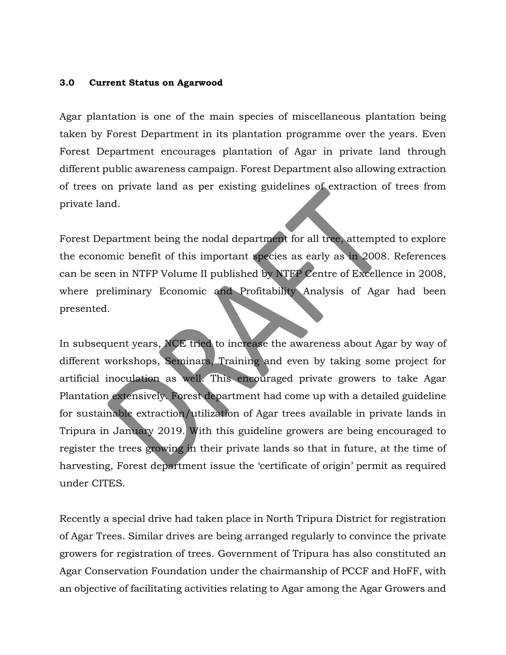#### **3.0 Current Status on Agarwood**

Agar plantation is one of the main species of miscellaneous plantation being taken by Forest Department in its plantation programme over the years. Even Forest Department encourages plantation of Agar in private land through different public awareness campaign. Forest Department also allowing extraction of trees on private land as per existing guidelines of extraction of trees from private land.

Forest Department being the nodal department for all tree, attempted to explore the economic benefit of this important species as early as in 2008. References can be seen in NTFP Volume II published by NTFP Centre of Excellence in 2008, where preliminary Economic and Profitability Analysis of Agar had been presented.

In subsequent years, NCE tried to increase the awareness about Agar by way of different workshops, Seminars, Training and even by taking some project for artificial inoculation as well. This encouraged private growers to take Agar Plantation extensively. Forest department had come up with a detailed guideline for sustainable extraction/utilization of Agar trees available in private lands in Tripura in January 2019. With this guideline growers are being encouraged to register the trees growing in their private lands so that in future, at the time of harvesting, Forest department issue the 'certificate of origin' permit as required under CITES.

Recently a special drive had taken place in North Tripura District for registration of Agar Trees. Similar drives are being arranged regularly to convince the private growers for registration of trees. Government of Tripura has also constituted an Agar Conservation Foundation under the chairmanship of PCCF and HoFF, with an objective of facilitating activities relating to Agar among the Agar Growers and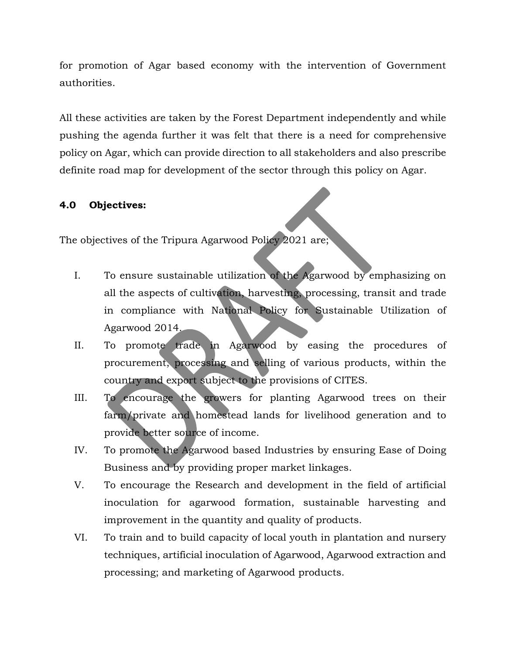for promotion of Agar based economy with the intervention of Government authorities.

All these activities are taken by the Forest Department independently and while pushing the agenda further it was felt that there is a need for comprehensive policy on Agar, which can provide direction to all stakeholders and also prescribe definite road map for development of the sector through this policy on Agar.

# **4.0 Objectives:**

The objectives of the Tripura Agarwood Policy 2021 are;

- I. To ensure sustainable utilization of the Agarwood by emphasizing on all the aspects of cultivation, harvesting, processing, transit and trade in compliance with National Policy for Sustainable Utilization of Agarwood 2014.
- II. To promote trade in Agarwood by easing the procedures of procurement, processing and selling of various products, within the country and export subject to the provisions of CITES.
- III. To encourage the growers for planting Agarwood trees on their farm/private and homestead lands for livelihood generation and to provide better source of income.
- IV. To promote the Agarwood based Industries by ensuring Ease of Doing Business and by providing proper market linkages.
- V. To encourage the Research and development in the field of artificial inoculation for agarwood formation, sustainable harvesting and improvement in the quantity and quality of products.
- VI. To train and to build capacity of local youth in plantation and nursery techniques, artificial inoculation of Agarwood, Agarwood extraction and processing; and marketing of Agarwood products.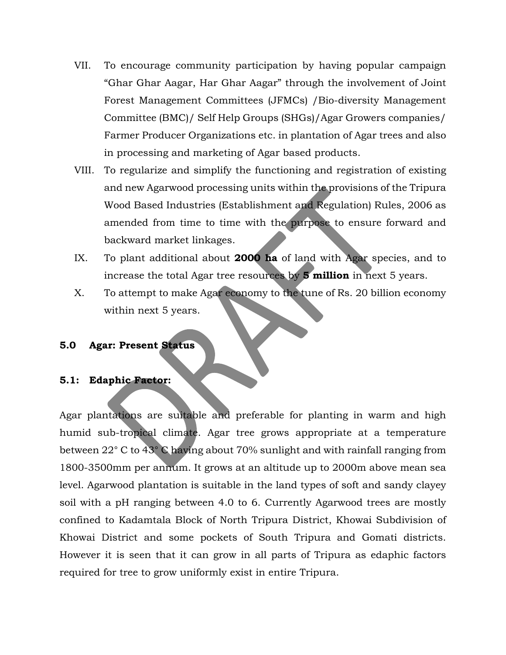- VII. To encourage community participation by having popular campaign "Ghar Ghar Aagar, Har Ghar Aagar" through the involvement of Joint Forest Management Committees (JFMCs) /Bio-diversity Management Committee (BMC)/ Self Help Groups (SHGs)/Agar Growers companies/ Farmer Producer Organizations etc. in plantation of Agar trees and also in processing and marketing of Agar based products.
- VIII. To regularize and simplify the functioning and registration of existing and new Agarwood processing units within the provisions of the Tripura Wood Based Industries (Establishment and Regulation) Rules, 2006 as amended from time to time with the purpose to ensure forward and backward market linkages.
- IX. To plant additional about **2000 ha** of land with Agar species, and to increase the total Agar tree resources by **5 million** in next 5 years.
- X. To attempt to make Agar economy to the tune of Rs. 20 billion economy within next 5 years.

### **5.0 Agar: Present Status**

#### **5.1: Edaphic Factor:**

Agar plantations are suitable and preferable for planting in warm and high humid sub-tropical climate. Agar tree grows appropriate at a temperature between 22° C to 43° C having about 70% sunlight and with rainfall ranging from 1800-3500mm per annum. It grows at an altitude up to 2000m above mean sea level. Agarwood plantation is suitable in the land types of soft and sandy clayey soil with a pH ranging between 4.0 to 6. Currently Agarwood trees are mostly confined to Kadamtala Block of North Tripura District, Khowai Subdivision of Khowai District and some pockets of South Tripura and Gomati districts. However it is seen that it can grow in all parts of Tripura as edaphic factors required for tree to grow uniformly exist in entire Tripura.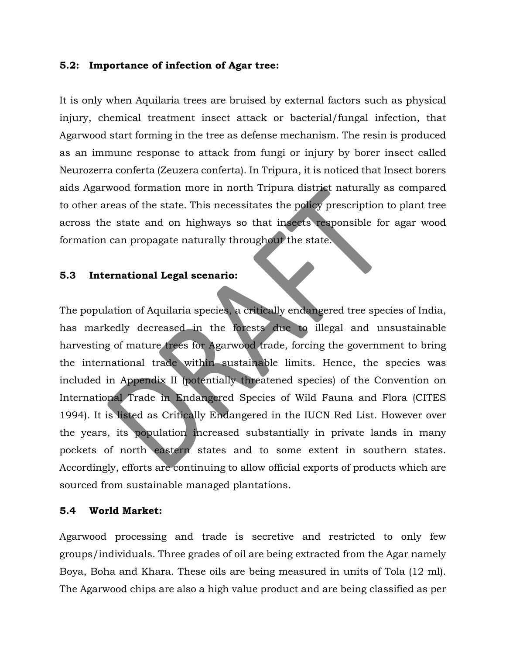#### **5.2: Importance of infection of Agar tree:**

It is only when Aquilaria trees are bruised by external factors such as physical injury, chemical treatment insect attack or bacterial/fungal infection, that Agarwood start forming in the tree as defense mechanism. The resin is produced as an immune response to attack from fungi or injury by borer insect called Neurozerra conferta (Zeuzera conferta). In Tripura, it is noticed that Insect borers aids Agarwood formation more in north Tripura district naturally as compared to other areas of the state. This necessitates the policy prescription to plant tree across the state and on highways so that insects responsible for agar wood formation can propagate naturally throughout the state.

#### **5.3 International Legal scenario:**

The population of Aquilaria species, a critically endangered tree species of India, has markedly decreased in the forests due to illegal and unsustainable harvesting of mature trees for Agarwood trade, forcing the government to bring the international trade within sustainable limits. Hence, the species was included in Appendix II (potentially threatened species) of the Convention on International Trade in Endangered Species of Wild Fauna and Flora (CITES 1994). It is listed as Critically Endangered in the IUCN Red List. However over the years, its population increased substantially in private lands in many pockets of north eastern states and to some extent in southern states. Accordingly, efforts are continuing to allow official exports of products which are sourced from sustainable managed plantations.

### **5.4 World Market:**

Agarwood processing and trade is secretive and restricted to only few groups/individuals. Three grades of oil are being extracted from the Agar namely Boya, Boha and Khara. These oils are being measured in units of Tola (12 ml). The Agarwood chips are also a high value product and are being classified as per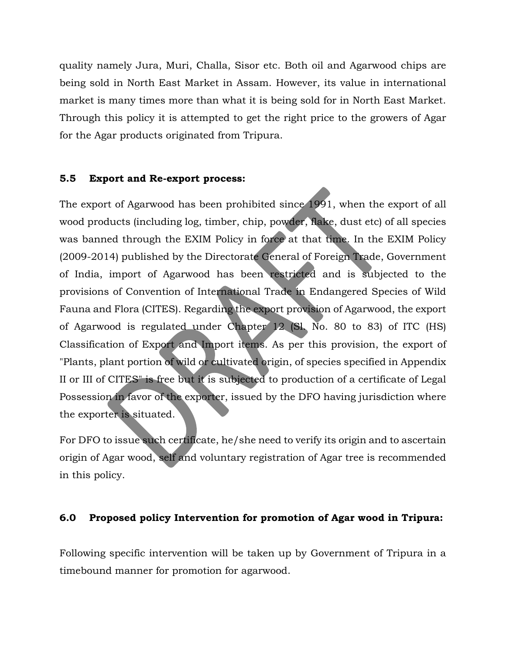quality namely Jura, Muri, Challa, Sisor etc. Both oil and Agarwood chips are being sold in North East Market in Assam. However, its value in international market is many times more than what it is being sold for in North East Market. Through this policy it is attempted to get the right price to the growers of Agar for the Agar products originated from Tripura.

## **5.5 Export and Re-export process:**

The export of Agarwood has been prohibited since 1991, when the export of all wood products (including log, timber, chip, powder, flake, dust etc) of all species was banned through the EXIM Policy in force at that time. In the EXIM Policy (2009-2014) published by the Directorate General of Foreign Trade, Government of India, import of Agarwood has been restricted and is subjected to the provisions of Convention of International Trade in Endangered Species of Wild Fauna and Flora (CITES). Regarding the export provision of Agarwood, the export of Agarwood is regulated under Chapter 12 (Sl. No. 80 to 83) of ITC (HS) Classification of Export and Import items. As per this provision, the export of "Plants, plant portion of wild or cultivated origin, of species specified in Appendix II or III of CITES" is free but it is subjected to production of a certificate of Legal Possession in favor of the exporter, issued by the DFO having jurisdiction where the exporter is situated.

For DFO to issue such certificate, he/she need to verify its origin and to ascertain origin of Agar wood, self and voluntary registration of Agar tree is recommended in this policy.

# **6.0 Proposed policy Intervention for promotion of Agar wood in Tripura:**

Following specific intervention will be taken up by Government of Tripura in a timebound manner for promotion for agarwood.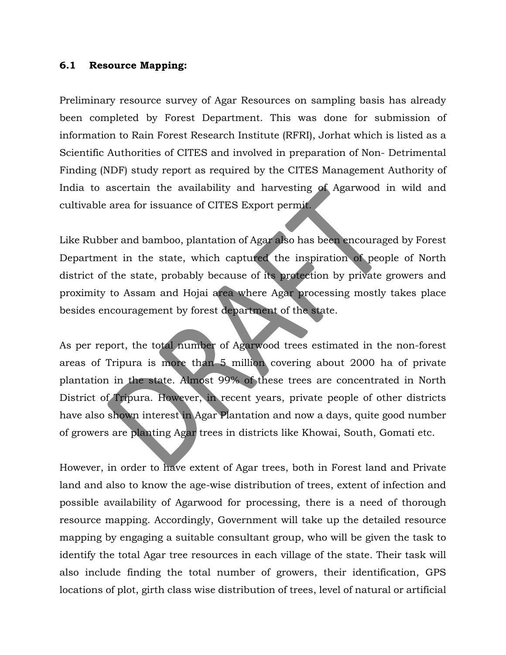#### **6.1 Resource Mapping:**

Preliminary resource survey of Agar Resources on sampling basis has already been completed by Forest Department. This was done for submission of information to Rain Forest Research Institute (RFRI), Jorhat which is listed as a Scientific Authorities of CITES and involved in preparation of Non- Detrimental Finding (NDF) study report as required by the CITES Management Authority of India to ascertain the availability and harvesting of Agarwood in wild and cultivable area for issuance of CITES Export permit.

Like Rubber and bamboo, plantation of Agar also has been encouraged by Forest Department in the state, which captured the inspiration of people of North district of the state, probably because of its protection by private growers and proximity to Assam and Hojai area where Agar processing mostly takes place besides encouragement by forest department of the state.

As per report, the total number of Agarwood trees estimated in the non-forest areas of Tripura is more than 5 million covering about 2000 ha of private plantation in the state. Almost 99% of these trees are concentrated in North District of Tripura. However, in recent years, private people of other districts have also shown interest in Agar Plantation and now a days, quite good number of growers are planting Agar trees in districts like Khowai, South, Gomati etc.

However, in order to have extent of Agar trees, both in Forest land and Private land and also to know the age-wise distribution of trees, extent of infection and possible availability of Agarwood for processing, there is a need of thorough resource mapping. Accordingly, Government will take up the detailed resource mapping by engaging a suitable consultant group, who will be given the task to identify the total Agar tree resources in each village of the state. Their task will also include finding the total number of growers, their identification, GPS locations of plot, girth class wise distribution of trees, level of natural or artificial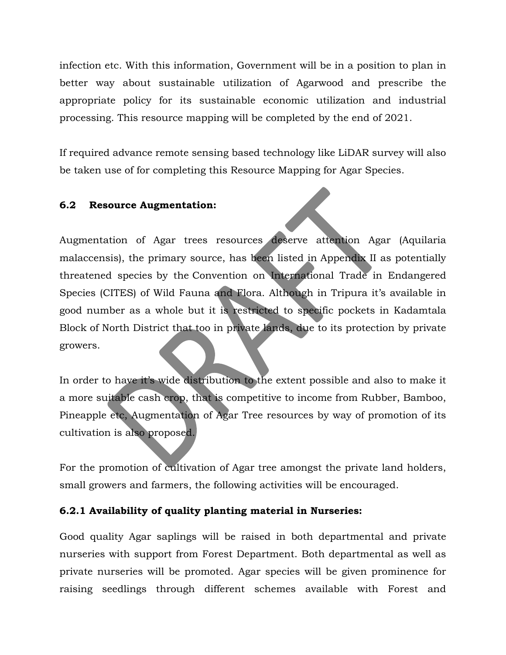infection etc. With this information, Government will be in a position to plan in better way about sustainable utilization of Agarwood and prescribe the appropriate policy for its sustainable economic utilization and industrial processing. This resource mapping will be completed by the end of 2021.

If required advance remote sensing based technology like LiDAR survey will also be taken use of for completing this Resource Mapping for Agar Species.

# **6.2 Resource Augmentation:**

Augmentation of Agar trees resources deserve attention Agar [\(Aquilaria](https://en.wikipedia.org/wiki/Aquilaria_malaccensis)  [malaccensis\)](https://en.wikipedia.org/wiki/Aquilaria_malaccensis), the primary source, has been listed in [Appendix II as potentially](https://en.wikipedia.org/wiki/Appendix_II)  [threatened species](https://en.wikipedia.org/wiki/Appendix_II) by the [Convention on International Trade in Endangered](https://en.wikipedia.org/wiki/CITES)  [Species \(CITES\) of Wild Fauna and Flora.](https://en.wikipedia.org/wiki/CITES) Although in Tripura it's available in good number as a whole but it is restricted to specific pockets in Kadamtala Block of North District that too in private lands, due to its protection by private growers.

In order to have it's wide distribution to the extent possible and also to make it a more suitable cash crop, that is competitive to income from Rubber, Bamboo, Pineapple etc, Augmentation of Agar Tree resources by way of promotion of its cultivation is also proposed.

For the promotion of cultivation of Agar tree amongst the private land holders, small growers and farmers, the following activities will be encouraged.

# **6.2.1 Availability of quality planting material in Nurseries:**

Good quality Agar saplings will be raised in both departmental and private nurseries with support from Forest Department. Both departmental as well as private nurseries will be promoted. Agar species will be given prominence for raising seedlings through different schemes available with Forest and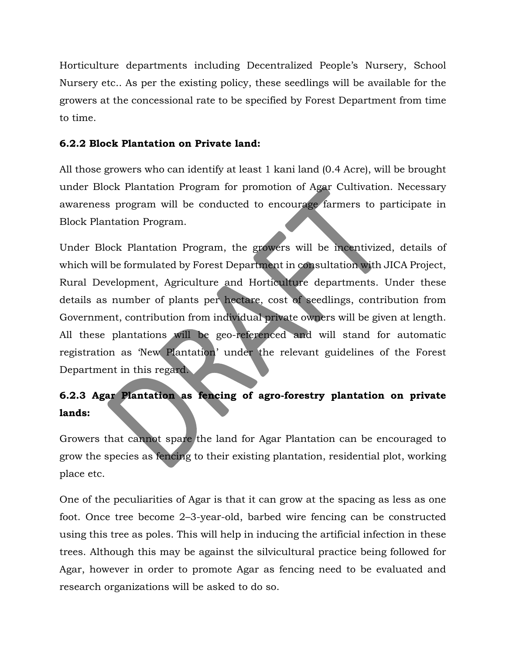Horticulture departments including Decentralized People's Nursery, School Nursery etc.. As per the existing policy, these seedlings will be available for the growers at the concessional rate to be specified by Forest Department from time to time.

# **6.2.2 Block Plantation on Private land:**

All those growers who can identify at least 1 kani land (0.4 Acre), will be brought under Block Plantation Program for promotion of Agar Cultivation. Necessary awareness program will be conducted to encourage farmers to participate in Block Plantation Program.

Under Block Plantation Program, the growers will be incentivized, details of which will be formulated by Forest Department in consultation with JICA Project, Rural Development, Agriculture and Horticulture departments. Under these details as number of plants per hectare, cost of seedlings, contribution from Government, contribution from individual private owners will be given at length. All these plantations will be geo-referenced and will stand for automatic registration as 'New Plantation' under the relevant guidelines of the Forest Department in this regard.

# **6.2.3 Agar Plantation as fencing of agro-forestry plantation on private lands:**

Growers that cannot spare the land for Agar Plantation can be encouraged to grow the species as fencing to their existing plantation, residential plot, working place etc.

One of the peculiarities of Agar is that it can grow at the spacing as less as one foot. Once tree become 2–3-year-old, barbed wire fencing can be constructed using this tree as poles. This will help in inducing the artificial infection in these trees. Although this may be against the silvicultural practice being followed for Agar, however in order to promote Agar as fencing need to be evaluated and research organizations will be asked to do so.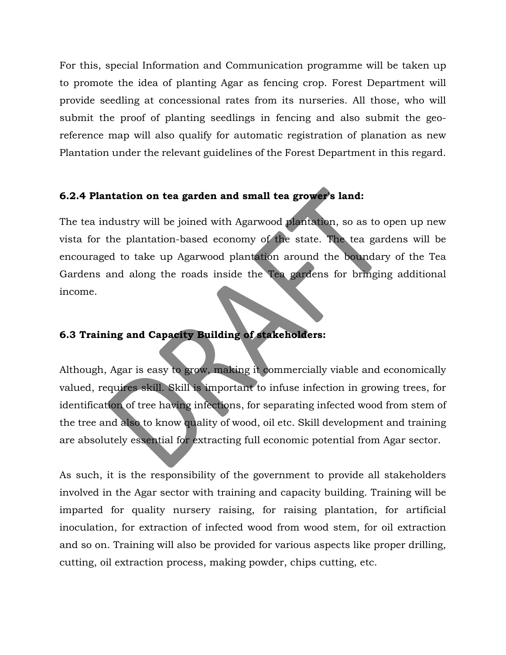For this, special Information and Communication programme will be taken up to promote the idea of planting Agar as fencing crop. Forest Department will provide seedling at concessional rates from its nurseries. All those, who will submit the proof of planting seedlings in fencing and also submit the georeference map will also qualify for automatic registration of planation as new Plantation under the relevant guidelines of the Forest Department in this regard.

# **6.2.4 Plantation on tea garden and small tea grower's land:**

The tea industry will be joined with Agarwood plantation, so as to open up new vista for the plantation-based economy of the state. The tea gardens will be encouraged to take up Agarwood plantation around the boundary of the Tea Gardens and along the roads inside the Tea gardens for bringing additional income.

# **6.3 Training and Capacity Building of stakeholders:**

Although, Agar is easy to grow, making it commercially viable and economically valued, requires skill. Skill is important to infuse infection in growing trees, for identification of tree having infections, for separating infected wood from stem of the tree and also to know quality of wood, oil etc. Skill development and training are absolutely essential for extracting full economic potential from Agar sector.

As such, it is the responsibility of the government to provide all stakeholders involved in the Agar sector with training and capacity building. Training will be imparted for quality nursery raising, for raising plantation, for artificial inoculation, for extraction of infected wood from wood stem, for oil extraction and so on. Training will also be provided for various aspects like proper drilling, cutting, oil extraction process, making powder, chips cutting, etc.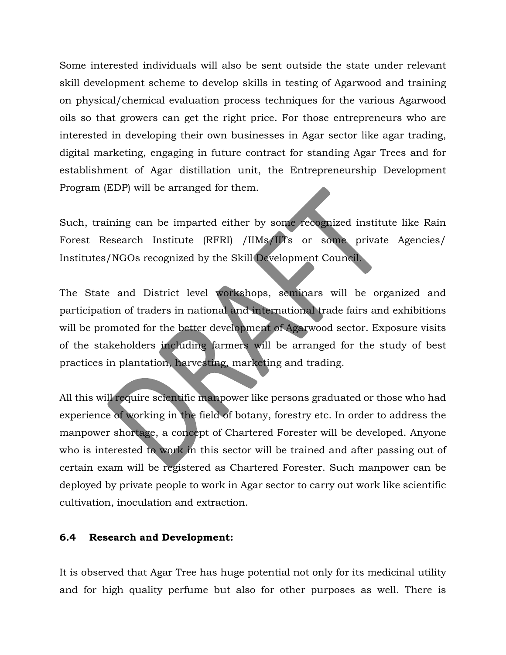Some interested individuals will also be sent outside the state under relevant skill development scheme to develop skills in testing of Agarwood and training on physical/chemical evaluation process techniques for the various Agarwood oils so that growers can get the right price. For those entrepreneurs who are interested in developing their own businesses in Agar sector like agar trading, digital marketing, engaging in future contract for standing Agar Trees and for establishment of Agar distillation unit, the Entrepreneurship Development Program (EDP) will be arranged for them.

Such, training can be imparted either by some recognized institute like Rain Forest Research Institute (RFRI) /IIMs/IITs or some private Agencies/ Institutes/NGOs recognized by the Skill Development Council.

The State and District level workshops, seminars will be organized and participation of traders in national and international trade fairs and exhibitions will be promoted for the better development of Agarwood sector. Exposure visits of the stakeholders including farmers will be arranged for the study of best practices in plantation, harvesting, marketing and trading.

All this will require scientific manpower like persons graduated or those who had experience of working in the field of botany, forestry etc. In order to address the manpower shortage, a concept of Chartered Forester will be developed. Anyone who is interested to work in this sector will be trained and after passing out of certain exam will be registered as Chartered Forester. Such manpower can be deployed by private people to work in Agar sector to carry out work like scientific cultivation, inoculation and extraction.

### **6.4 Research and Development:**

It is observed that Agar Tree has huge potential not only for its medicinal utility and for high quality perfume but also for other purposes as well. There is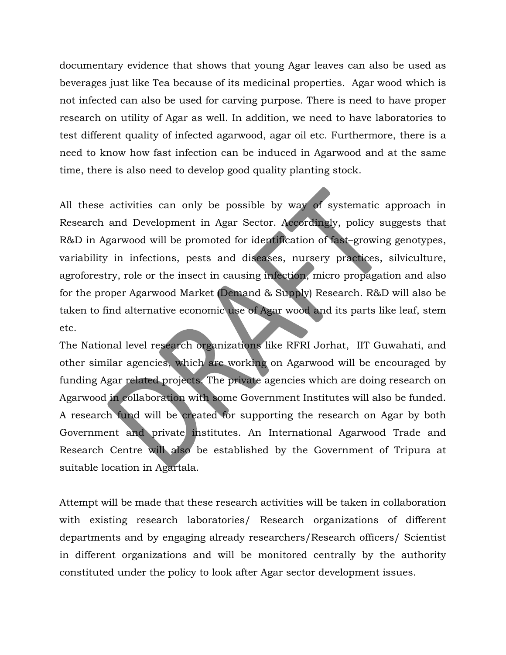documentary evidence that shows that young Agar leaves can also be used as beverages just like Tea because of its medicinal properties. Agar wood which is not infected can also be used for carving purpose. There is need to have proper research on utility of Agar as well. In addition, we need to have laboratories to test different quality of infected agarwood, agar oil etc. Furthermore, there is a need to know how fast infection can be induced in Agarwood and at the same time, there is also need to develop good quality planting stock.

All these activities can only be possible by way of systematic approach in Research and Development in Agar Sector. Accordingly, policy suggests that R&D in Agarwood will be promoted for identification of fast–growing genotypes, variability in infections, pests and diseases, nursery practices, silviculture, agroforestry, role or the insect in causing infection, micro propagation and also for the proper Agarwood Market (Demand & Supply) Research. R&D will also be taken to find alternative economic use of Agar wood and its parts like leaf, stem etc.

The National level research organizations like RFRI Jorhat, IIT Guwahati, and other similar agencies, which are working on Agarwood will be encouraged by funding Agar related projects. The private agencies which are doing research on Agarwood in collaboration with some Government Institutes will also be funded. A research fund will be created for supporting the research on Agar by both Government and private institutes. An International Agarwood Trade and Research Centre will also be established by the Government of Tripura at suitable location in Agartala.

Attempt will be made that these research activities will be taken in collaboration with existing research laboratories/ Research organizations of different departments and by engaging already researchers/Research officers/ Scientist in different organizations and will be monitored centrally by the authority constituted under the policy to look after Agar sector development issues.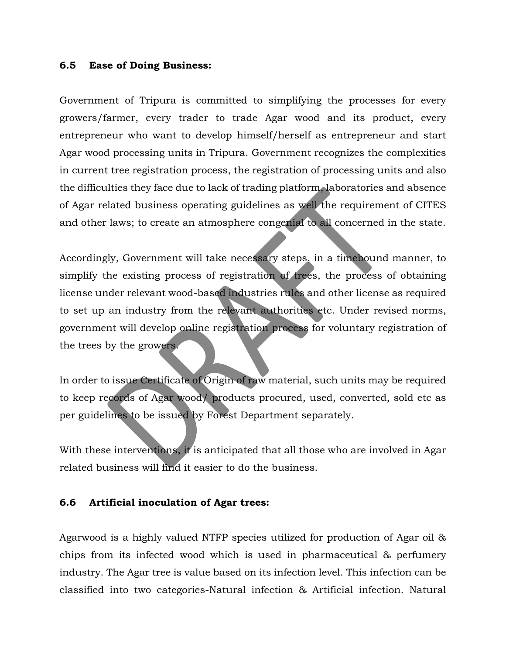#### **6.5 Ease of Doing Business:**

Government of Tripura is committed to simplifying the processes for every growers/farmer, every trader to trade Agar wood and its product, every entrepreneur who want to develop himself/herself as entrepreneur and start Agar wood processing units in Tripura. Government recognizes the complexities in current tree registration process, the registration of processing units and also the difficulties they face due to lack of trading platform, laboratories and absence of Agar related business operating guidelines as well the requirement of CITES and other laws; to create an atmosphere congenial to all concerned in the state.

Accordingly, Government will take necessary steps, in a timebound manner, to simplify the existing process of registration of trees, the process of obtaining license under relevant wood-based industries rules and other license as required to set up an industry from the relevant authorities etc. Under revised norms, government will develop online registration process for voluntary registration of the trees by the growers.

In order to issue Certificate of Origin of raw material, such units may be required to keep records of Agar wood/ products procured, used, converted, sold etc as per guidelines to be issued by Forest Department separately.

With these interventions, it is anticipated that all those who are involved in Agar related business will find it easier to do the business.

#### **6.6 Artificial inoculation of Agar trees:**

Agarwood is a highly valued NTFP species utilized for production of Agar oil & chips from its infected wood which is used in pharmaceutical & perfumery industry. The Agar tree is value based on its infection level. This infection can be classified into two categories-Natural infection & Artificial infection. Natural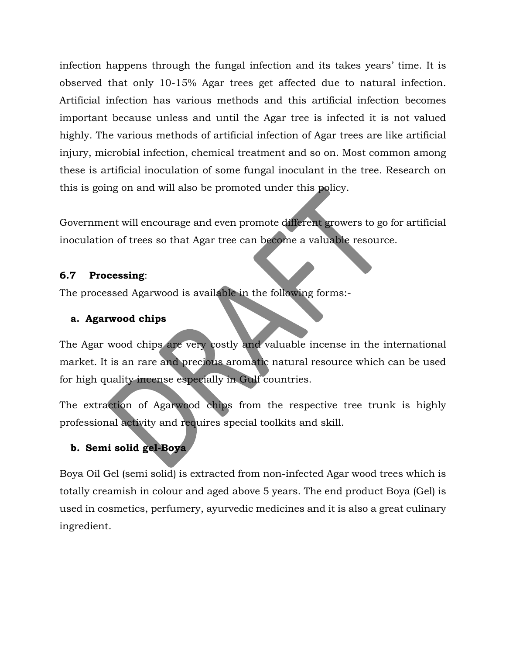infection happens through the fungal infection and its takes years' time. It is observed that only 10-15% Agar trees get affected due to natural infection. Artificial infection has various methods and this artificial infection becomes important because unless and until the Agar tree is infected it is not valued highly. The various methods of artificial infection of Agar trees are like artificial injury, microbial infection, chemical treatment and so on. Most common among these is artificial inoculation of some fungal inoculant in the tree. Research on this is going on and will also be promoted under this policy.

Government will encourage and even promote different growers to go for artificial inoculation of trees so that Agar tree can become a valuable resource.

# **6.7 Processing**:

The processed Agarwood is available in the following forms:-

# **a. Agarwood chips**

The Agar wood chips are very costly and valuable incense in the international market. It is an rare and precious aromatic natural resource which can be used for high quality incense especially in Gulf countries.

The extraction of Agarwood chips from the respective tree trunk is highly professional activity and requires special toolkits and skill.

# **b. Semi solid gel-Boya**

Boya Oil Gel (semi solid) is extracted from non-infected Agar wood trees which is totally creamish in colour and aged above 5 years. The end product Boya (Gel) is used in cosmetics, perfumery, ayurvedic medicines and it is also a great culinary ingredient.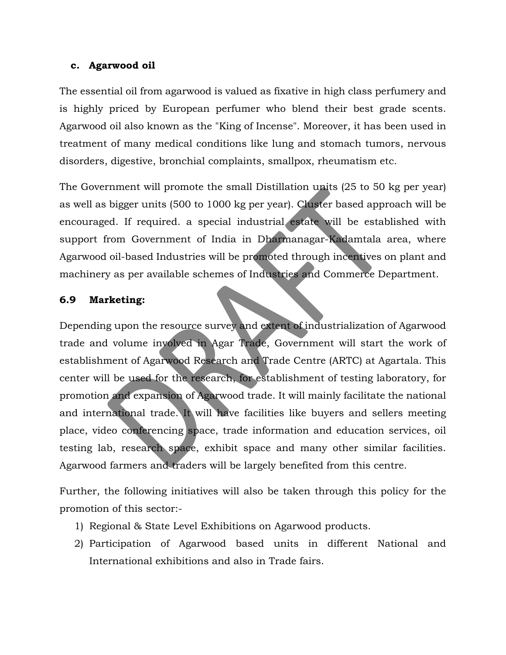#### **c. Agarwood oil**

The essential oil from agarwood is valued as fixative in high class perfumery and is highly priced by European perfumer who blend their best grade scents. Agarwood oil also known as the "King of Incense". Moreover, it has been used in treatment of many medical conditions like lung and stomach tumors, nervous disorders, digestive, bronchial complaints, smallpox, rheumatism etc.

The Government will promote the small Distillation units (25 to 50 kg per year) as well as bigger units (500 to 1000 kg per year). Cluster based approach will be encouraged. If required. a special industrial estate will be established with support from Government of India in Dharmanagar-Kadamtala area, where Agarwood oil-based Industries will be promoted through incentives on plant and machinery as per available schemes of Industries and Commerce Department.

## **6.9 Marketing:**

Depending upon the resource survey and extent of industrialization of Agarwood trade and volume involved in Agar Trade, Government will start the work of establishment of Agarwood Research and Trade Centre (ARTC) at Agartala. This center will be used for the research, for establishment of testing laboratory, for promotion and expansion of Agarwood trade. It will mainly facilitate the national and international trade. It will have facilities like buyers and sellers meeting place, video conferencing space, trade information and education services, oil testing lab, research space, exhibit space and many other similar facilities. Agarwood farmers and traders will be largely benefited from this centre.

Further, the following initiatives will also be taken through this policy for the promotion of this sector:-

- 1) Regional & State Level Exhibitions on Agarwood products.
- 2) Participation of Agarwood based units in different National and International exhibitions and also in Trade fairs.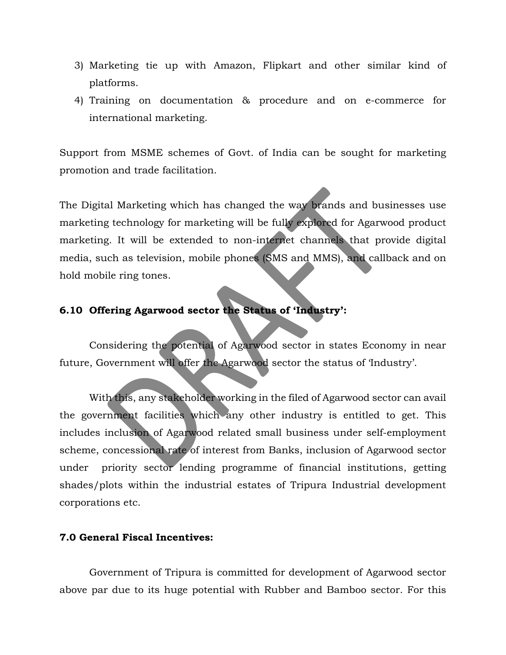- 3) Marketing tie up with Amazon, Flipkart and other similar kind of platforms.
- 4) Training on documentation & procedure and on e-commerce for international marketing.

Support from MSME schemes of Govt. of India can be sought for marketing promotion and trade facilitation.

The Digital Marketing which has changed the way brands and businesses use marketing technology for marketing will be fully explored for Agarwood product marketing. It will be extended to non-internet channels that provide digital media, such as television, mobile phones (SMS and MMS), and callback and on hold mobile ring tones.

# **6.10 Offering Agarwood sector the Status of 'Industry':**

Considering the potential of Agarwood sector in states Economy in near future, Government will offer the Agarwood sector the status of 'Industry'.

With this, any stakeholder working in the filed of Agarwood sector can avail the government facilities which any other industry is entitled to get. This includes inclusion of Agarwood related small business under self-employment scheme, concessional rate of interest from Banks, inclusion of Agarwood sector under priority sector lending programme of financial institutions, getting shades/plots within the industrial estates of Tripura Industrial development corporations etc.

### **7.0 General Fiscal Incentives:**

Government of Tripura is committed for development of Agarwood sector above par due to its huge potential with Rubber and Bamboo sector. For this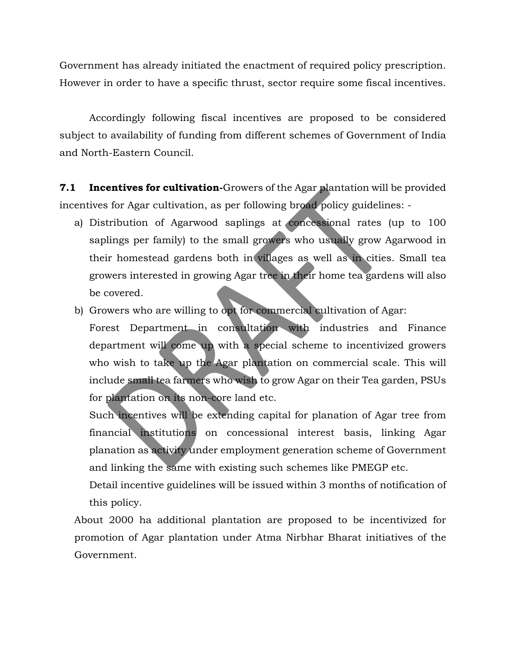Government has already initiated the enactment of required policy prescription. However in order to have a specific thrust, sector require some fiscal incentives.

Accordingly following fiscal incentives are proposed to be considered subject to availability of funding from different schemes of Government of India and North-Eastern Council.

**7.1 Incentives for cultivation-**Growers of the Agar plantation will be provided incentives for Agar cultivation, as per following broad policy guidelines: -

- a) Distribution of Agarwood saplings at concessional rates (up to 100 saplings per family) to the small growers who usually grow Agarwood in their homestead gardens both in villages as well as in cities. Small tea growers interested in growing Agar tree in their home tea gardens will also be covered.
- b) Growers who are willing to opt for commercial cultivation of Agar:

Forest Department in consultation with industries and Finance department will come up with a special scheme to incentivized growers who wish to take up the Agar plantation on commercial scale. This will include small tea farmers who wish to grow Agar on their Tea garden, PSUs for plantation on its non-core land etc.

Such incentives will be extending capital for planation of Agar tree from financial institutions on concessional interest basis, linking Agar planation as activity under employment generation scheme of Government and linking the same with existing such schemes like PMEGP etc.

Detail incentive guidelines will be issued within 3 months of notification of this policy.

About 2000 ha additional plantation are proposed to be incentivized for promotion of Agar plantation under Atma Nirbhar Bharat initiatives of the Government.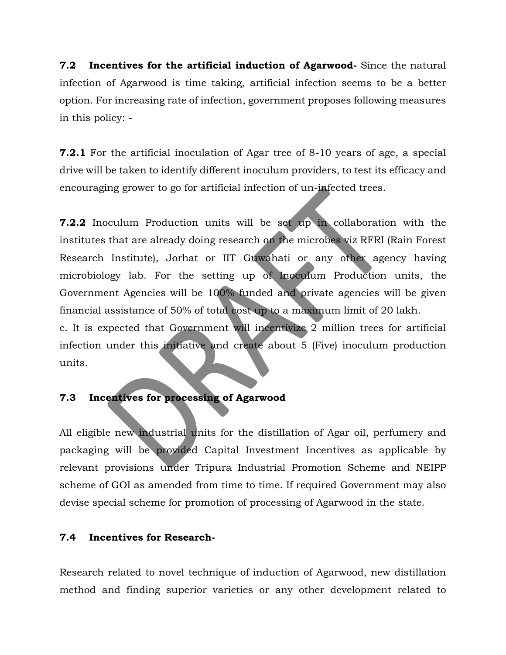**7.2 Incentives for the artificial induction of Agarwood-** Since the natural infection of Agarwood is time taking, artificial infection seems to be a better option. For increasing rate of infection, government proposes following measures in this policy: -

**7.2.1** For the artificial inoculation of Agar tree of 8-10 years of age, a special drive will be taken to identify different inoculum providers, to test its efficacy and encouraging grower to go for artificial infection of un-infected trees.

**7.2.2** Inoculum Production units will be set up in collaboration with the institutes that are already doing research on the microbes viz RFRI (Rain Forest Research Institute), Jorhat or IIT Guwahati or any other agency having microbiology lab. For the setting up of Inoculum Production units, the Government Agencies will be 100% funded and private agencies will be given financial assistance of 50% of total cost up to a maximum limit of 20 lakh.

c. It is expected that Government will incentivize 2 million trees for artificial infection under this initiative and create about 5 (Five) inoculum production units.

# **7.3 Incentives for processing of Agarwood**

All eligible new industrial units for the distillation of Agar oil, perfumery and packaging will be provided Capital Investment Incentives as applicable by relevant provisions under Tripura Industrial Promotion Scheme and NEIPP scheme of GOI as amended from time to time. If required Government may also devise special scheme for promotion of processing of Agarwood in the state.

# **7.4 Incentives for Research-**

Research related to novel technique of induction of Agarwood, new distillation method and finding superior varieties or any other development related to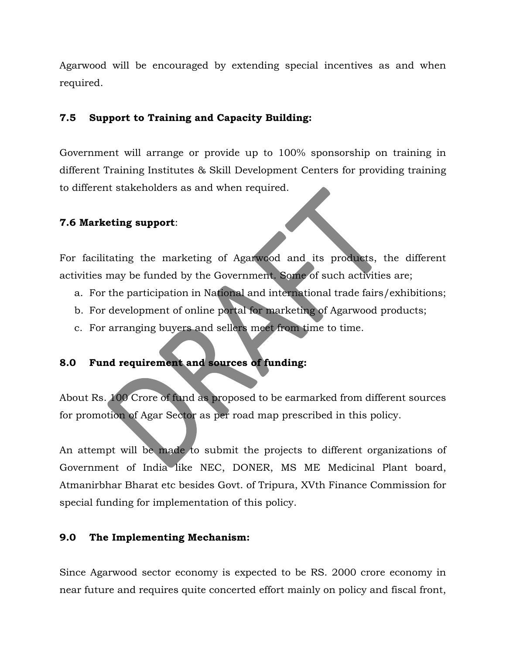Agarwood will be encouraged by extending special incentives as and when required.

# **7.5 Support to Training and Capacity Building:**

Government will arrange or provide up to 100% sponsorship on training in different Training Institutes & Skill Development Centers for providing training to different stakeholders as and when required.

# **7.6 Marketing support**:

For facilitating the marketing of Agarwood and its products, the different activities may be funded by the Government. Some of such activities are;

- a. For the participation in National and international trade fairs/exhibitions;
- b. For development of online portal for marketing of Agarwood products;
- c. For arranging buyers and sellers meet from time to time.

# **8.0 Fund requirement and sources of funding:**

About Rs. 100 Crore of fund as proposed to be earmarked from different sources for promotion of Agar Sector as per road map prescribed in this policy.

An attempt will be made to submit the projects to different organizations of Government of India like NEC, DONER, MS ME Medicinal Plant board, Atmanirbhar Bharat etc besides Govt. of Tripura, XVth Finance Commission for special funding for implementation of this policy.

### **9.0 The Implementing Mechanism:**

Since Agarwood sector economy is expected to be RS. 2000 crore economy in near future and requires quite concerted effort mainly on policy and fiscal front,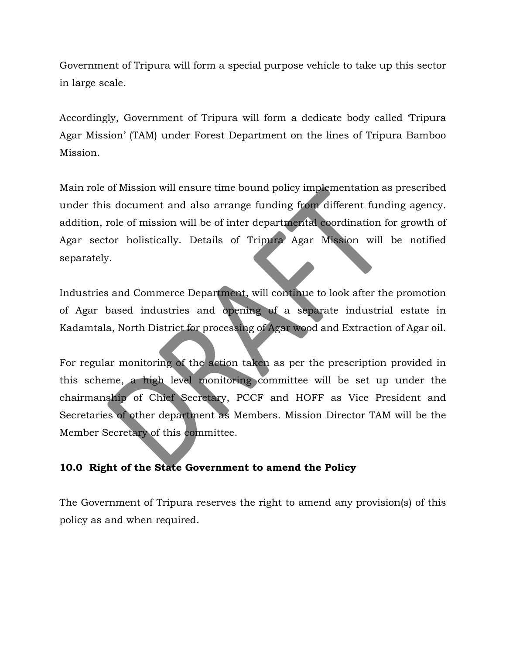Government of Tripura will form a special purpose vehicle to take up this sector in large scale.

Accordingly, Government of Tripura will form a dedicate body called 'Tripura Agar Mission' (TAM) under Forest Department on the lines of Tripura Bamboo Mission.

Main role of Mission will ensure time bound policy implementation as prescribed under this document and also arrange funding from different funding agency. addition, role of mission will be of inter departmental coordination for growth of Agar sector holistically. Details of Tripura Agar Mission will be notified separately.

Industries and Commerce Department, will continue to look after the promotion of Agar based industries and opening of a separate industrial estate in Kadamtala, North District for processing of Agar wood and Extraction of Agar oil.

For regular monitoring of the action taken as per the prescription provided in this scheme, a high level monitoring committee will be set up under the chairmanship of Chief Secretary, PCCF and HOFF as Vice President and Secretaries of other department as Members. Mission Director TAM will be the Member Secretary of this committee.

# **10.0 Right of the State Government to amend the Policy**

The Government of Tripura reserves the right to amend any provision(s) of this policy as and when required.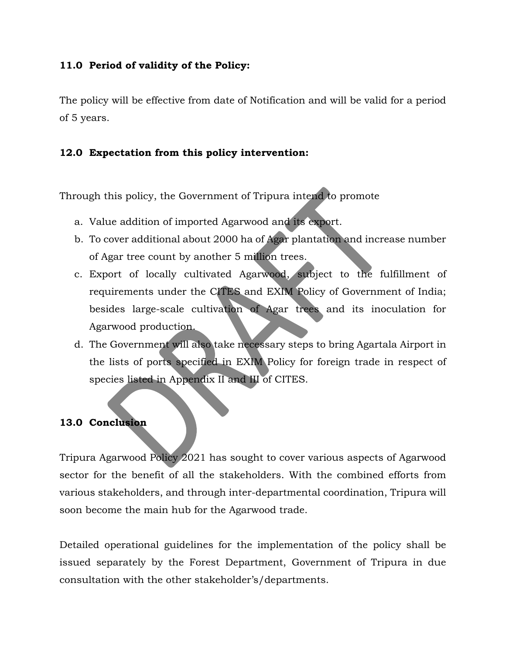# **11.0 Period of validity of the Policy:**

The policy will be effective from date of Notification and will be valid for a period of 5 years.

# **12.0 Expectation from this policy intervention:**

Through this policy, the Government of Tripura intend to promote

- a. Value addition of imported Agarwood and its export.
- b. To cover additional about 2000 ha of Agar plantation and increase number of Agar tree count by another 5 million trees.
- c. Export of locally cultivated Agarwood, subject to the fulfillment of requirements under the CITES and EXIM Policy of Government of India; besides large-scale cultivation of Agar trees and its inoculation for Agarwood production.
- d. The Government will also take necessary steps to bring Agartala Airport in the lists of ports specified in EXIM Policy for foreign trade in respect of species listed in Appendix II and III of CITES.

### **13.0 Conclusion**

Tripura Agarwood Policy 2021 has sought to cover various aspects of Agarwood sector for the benefit of all the stakeholders. With the combined efforts from various stakeholders, and through inter-departmental coordination, Tripura will soon become the main hub for the Agarwood trade.

Detailed operational guidelines for the implementation of the policy shall be issued separately by the Forest Department, Government of Tripura in due consultation with the other stakeholder's/departments.